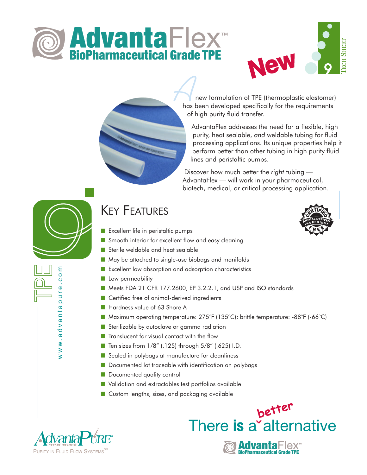



new formulation of TPE (thermoplastic elastomer) **A**<br>has been developed specifically for the requirements of high purity fluid transfer.

AdvantaFlex addresses the need for a flexible, high purity, heat sealable, *and* weldable tubing for fluid processing applications. Its unique properties help it perform better than other tubing in high purity fluid lines and peristaltic pumps.

better

There is a alternative

Advanta **BioPharmaceutical Grade TPE** 

Discover how much better the *right* tubing — AdvantaFlex — will work in your pharmaceutical, biotech, medical, or critical processing application.



www.advantapure.com

www.advanta

m<br>S  $\circ$  $\Phi$ pur

## KEY FEATURES

- Excellent life in peristaltic pumps
- Smooth interior for excellent flow and easy cleaning
- Sterile weldable and heat sealable
- May be attached to single-use biobags and manifolds
- Excellent low absorption and adsorption characteristics
- Low permeability
- Meets FDA 21 CFR 177.2600, EP 3.2.2.1, and USP and ISO standards
- Certified free of animal-derived ingredients
- Hardness value of 63 Shore A
- Maximum operating temperature: 275°F (135°C); brittle temperature: -88°F (-66°C)
- Sterilizable by autoclave or gamma radiation
- Translucent for visual contact with the flow
- Ten sizes from 1/8" (.125) through 5/8" (.625) I.D.
- Sealed in polybags at manufacture for cleanliness
- Documented lot traceable with identification on polybags
- Documented quality control
- Validation and extractables test portfolios available
- Custom lengths, sizes, and packaging available